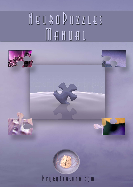# NEUROPUZZLES

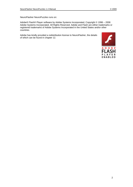NeuroFlasher NeuroPuzzles runs on:

Adobe® Flash® Player software by Adobe Systems Incorporated, Copyright © 1996 – 2008 Adobe Systems Incorporated. All Rights Reserved. Adobe and Flash are either trademarks or registered trademarks of Adobe Systems Incorporated in the United States and/or other countries.

Adobe has kindly provided a redistribution license to NeuroFlasher, the details of which can be found in chapter 12.

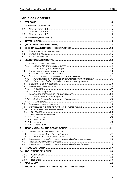# **Table of Contents**

| 1            |                                                                            |  |
|--------------|----------------------------------------------------------------------------|--|
| $\mathbf{2}$ |                                                                            |  |
|              | 2.1                                                                        |  |
|              | 2.2                                                                        |  |
|              | 2.3                                                                        |  |
| 3            |                                                                            |  |
| 4            |                                                                            |  |
| 5            |                                                                            |  |
| 6            |                                                                            |  |
|              | 6.1                                                                        |  |
|              | 6.2                                                                        |  |
|              | 6.3                                                                        |  |
| 7            |                                                                            |  |
|              | 7.1                                                                        |  |
|              | 7.1.1                                                                      |  |
|              | 7.1.2                                                                      |  |
|              | 7.2                                                                        |  |
|              | 7.3                                                                        |  |
|              | 7.4                                                                        |  |
|              | Input controlled - Controlled by playing/pausing host program  21<br>7.4.1 |  |
|              | 7.4.2<br>7.5                                                               |  |
|              | 7.6                                                                        |  |
|              | 7.6.1                                                                      |  |
|              | 7.6.2                                                                      |  |
|              | 7.7                                                                        |  |
|              | 7.7.1                                                                      |  |
|              | 7.7.2<br>7.7.3                                                             |  |
|              | 7.8                                                                        |  |
|              | 7.9                                                                        |  |
|              | 7.10                                                                       |  |
|              | 7.11                                                                       |  |
|              | 7.12                                                                       |  |
|              | 7.12.1                                                                     |  |
|              | 7.12.3                                                                     |  |
|              | 7.12.4                                                                     |  |
| 8            |                                                                            |  |
|              | 8.1                                                                        |  |
|              | 8.1.1                                                                      |  |
|              | 8.1.2                                                                      |  |
|              | INTEGRATING NEUROPUZZLES IN YOUR OWN BIOEXPLORER DESIGN 33<br>8.2          |  |
|              | 8.3                                                                        |  |
|              | 8.4                                                                        |  |
| 9            |                                                                            |  |
|              |                                                                            |  |
|              | 10.1                                                                       |  |
|              | 10.2                                                                       |  |
|              | 10.3                                                                       |  |
| 11           |                                                                            |  |
| 12           |                                                                            |  |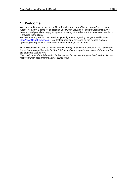# <span id="page-3-0"></span>**1 Welcome**

Welcome and thank you for buying NeuroPuzzles from NeuroFlasher. NeuroPuzzles is an Adobe™ Flash™ 8 game for educational uses within BioExplorer and BioGraph Infiniti. We hope you and your clients enjoy this game, its variety of puzzles and the transparent feedback it provides to the client.

We welcome any feedback or questions you might have regarding the game and its use at [http://www.NeuroFlasher.com.](http://www.neuroflasher.com/) Note that for additional privileges on the website such as updates, your registration name and serial number might be required.

*Note: Historically this manual was written exclusively for use with BioExplorer. We have made the software compatible with BioGraph Infiniti in this last update, but some of the examples still pertain to BioExplorer.* 

*That said, most of the information in this manual focuses on the game itself, and applies no matter in which host program NeuroPuzzles is run.*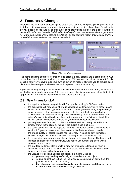# <span id="page-4-0"></span>**2 Features & Changes**

NeuroPuzzles is a neurofeedback game that allows users to complete jigsaw puzzles with their brain. It's easy to use and reacts in a transparent way: as the client shows 'good' brain activity, puzzle pieces fade in, and for every completely faded in piece, the client is awarded points. *(Note that this behavior is defined in the design/screen that you use with the game and not in the game itself. If you change the design you can redefine 'good' brain activity and you can redefine when and how the client is rewarded).* 



Figure 1 The NeuroPuzzles screens

The game consists of three screens: an intro screen, a play screen and a score screen. Out of the box NeuroPuzzles provides you with over 350 pictures, but since version 1.3 it is possible (and very easy) to add your own collection of images, allowing you to provide each client with their own personal favourites (with improved privacy version 1.4).

If you are already using an older version of NeuroPuzzles and are wondering whether it's worthwhile to upgrade to version 1.4, please inspect the list of changes below. Note that upgrading to 1.4 is free for registered users of versions 1.1 and up.

#### <span id="page-4-1"></span>*2.1 New in version 1.4*

- the application is now compatible with Thought Technology's BioGraph Infiniti
- the application will now select all image categories by default, EXCEPT those images stored in a folder called \_private. In version 1.3 when you were using images brought in by your client, all image categories were selected by default, and you had to explicitly unselect one client's images to avoid showing them to another client. For privacy's sake, this will no longer happen if you put your client's images in a folder called private. The folder is created for you by default upon installation.
- puzzle pieces now fade in to provide more direct feedback, every reward is now directly shown to the client by fading in the puzzle piece a bit more.
- the score speed can now be adjusted. Although the default speed is the same as in version 1.3, you can make your client 'score' a little faster or slower if needed.
- the image quality for scaled images has improved. This applies both to images smaller or larger than 800x600 as well to scaling of the complete interface.
- the score view now clearly shows the best round criterion at the top. The best round is based on pieces scored per minute, and not on just number of pieces, which confused some clients.
- the interface no longer blocks while a large set of images is loaded, or when a session is started for the first time. We have tested the application with up to 8000 images, and it runs without any problems.
- the BioExplorer design has been simplified, this means 3 things:
	- you now only need a pass/fail signal instead of a score object
	- o you no longer have to hook up the midi object, sounds now come from the game itself (which can be muted)
	- o **this change is not compatible with your old designs and they will have to be updated.** There are several ways to do this: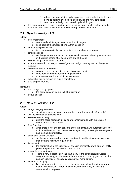- 1. refer to the manual, the update process is extremely simple. It comes
- down to deleting two objects and drawing one new connection.
- 2. send us your design, and we will update it for you
- the game produces a piano sound on score up. Additional samples will be added in future versions. The sounds can be muted through the options menu.

## <span id="page-5-0"></span>*2.2 New in version 1.3*

Added:

- personal images:
	- o create and maintain your own collection of images
	- o keep track of the images shown within a session
- changeable puzzle sizes:
	- o increase automatically, stay at a fixed size or change randomly
- timed sessions:
	- o set the game to run x rounds, with pauses in between, showing an overview of the round scores after each round and at the end
- 60 new images in different categories
- a lock button which allows you to configure the design correctly without the game running
- score overview improvements:
	- o copy and paste the session scores into a document
	- o keep track of the best round during a session
	- o mouse-over tool tips with info for each round
- adjustable puzzle timings on puzzle completion
- a revamped interface

Removed:

- the change quality option:
	- o the game can only be run in high quality now
- debug abilities

## <span id="page-5-1"></span>*2.3 New in version 1.2*

Added:

- image category selection:
	- o select categories of images you want to show, for example "Cars only"
- 30+ new images of fantastic cars
- score screen printing:
	- o print the score screen in full color or economic mode, with the click of a button on the score screen.
- (auto) scaling:
	- o when there is not enough space to show the game, it will automatically scale to fit. In addition you can choose to do so yourself, for example to enlarge the game on a bigger display.
- adjustable quality settings:
	- o set the game to use a lower quality setting, to facilitate its use on systems that meet the minimum requirements.
- flash check:
	- $\circ$  the combination of the BioExplorer check in combination with ours will notify you when your flash version is not up to date.
- runnable from start menu:
	- o There is now a direct link in the start menu to the default NeuroPuzzles design. Assuming your file associations are setup correctly, you can run the game in BioExplorer directly by clicking that menu option.
- key based test page:
	- o Due to the new setup, you can run the game standalone from the programs menu, which causes it to run in a key-based mode. Easy for testing & demonstration purposes.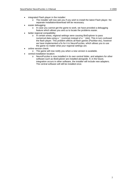- integrated Flash player in the installer:
	- o The installer will now ask you if you wish to install the latest Flash player. No separate installation/download will be necessary.
- easier debugging:
	- o In case you cannot get the game to work, we have provided a debugging feature which allows you and us to locate the problems easier.
- better regional compatibility:
	- o In certain areas, regional settings were causing BioExplorer to pass numerical data using a ',' (comma) instead of a '.' (dot). This in turn confused the flash player. This problem affects all flash games (PacMan etc), however we have implemented a fix for it in NeuroPuzzles, which allows you to use the game no matter what your regional settings are.
- online version check:
	- o The game will now notify you when a new version is available.
	- central installation location:
		- o NeuroPuzzles is now installed in its own central folder, and adapters for other software such as BioExplorer are installed alongside. If, in the future, integration occurs in other software, the installer will include new adapters. The central software will still be installed once.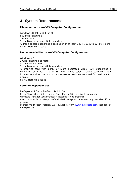# <span id="page-7-0"></span>**3 System Requirements**

#### **Minimum Hardware/OS Computer Configuration:**

Windows 98, ME, 2000, or XP 800 MHz Pentium 3 256 MB RAM SoundBlaster or compatible sound card A graphics card supporting a resolution of at least 1024x768 with 32-bits colors 80 MD Hard disk space

#### **Recommended Hardware/OS Computer Configuration:**

Windows XP 2 GHz Pentium 4 or faster 512 MB RAM or more SoundBlaster or compatible sound card A graphics card with 64MB or more dedicated video RAM, supporting a resolution of at least 1024x768 with 32-bits color. A single card with dual independent video outputs or two separate cards are required for dual monitor display.

80 MD Hard disk space

#### **Software dependencies:**

BioExplorer 1.3+ or BioGraph Infiniti 5+ Flash Player 8 or higher (latest Flash Player 10 is available in installer) Windows Installer (automatically installed if not present) VB6 runtime for BioGraph Infiniti Flash Wrapper (automatically installed if not present) Microsoft's DirectX version 9.0 (available from [www.microsoft.com](http://www.microsoft.com/), needed by BioExplorer)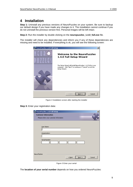# <span id="page-8-0"></span>**4 Installation**

**Step 1:** Uninstall any previous versions of NeuroPuzzles on your system. Be sure to backup our default design if you have made any changes to it. The installation cannot continue if you do not uninstall the previous version first. Personal images will be left intact.

**Step 2:** Run the installer by double clicking on the **neuropuzzles\_1.4.0\_full.exe** file.

The installer will check any dependencies and inform you if any of these dependencies are missing and need to be installed. If everything is ok, you will see the following screen:



Figure 2 Installation screen after starting the installer



| NeuroPuzzles 1.4.0 Full Setup<br><b>Customer Information</b><br>Please enter your customer information | ×      |
|--------------------------------------------------------------------------------------------------------|--------|
| User Name:<br>Organization:                                                                            |        |
| Serial Number:                                                                                         |        |
| NeuroFlasher<br>$<$ Back<br>$N$ ext >                                                                  | Cancel |

Figure 3 Enter your serial

The **location of your serial number** depends on how you ordered NeuroPuzzles: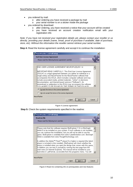- you ordered by mail:
	- o after ordering you have received a package by mail
	- o your serial number is on a sticker inside the package
- you ordered by download:
	- o after ordering, you have received a notice that your account will be created
	- o you have received an account creation notification email with your registration info

*Note: If you have not received your registration details yet, please contact your reseller or us directly, providing your details (name, email, proof of purchase if available, date of purchase, store, etc). Without this information the reseller cannot retrieve your serial number.* 

**Step 4:** Read the license agreement carefully and accept it to continue the installation:

| <b>NeuroPuzzles 1.4.0 Full Setup</b>                                                                                                                                                                                                                                                                                                                                                                                                                                                                                                              |        |
|---------------------------------------------------------------------------------------------------------------------------------------------------------------------------------------------------------------------------------------------------------------------------------------------------------------------------------------------------------------------------------------------------------------------------------------------------------------------------------------------------------------------------------------------------|--------|
| <b>End-User License Agreement</b>                                                                                                                                                                                                                                                                                                                                                                                                                                                                                                                 |        |
| Please read the following license agreement carefully                                                                                                                                                                                                                                                                                                                                                                                                                                                                                             |        |
|                                                                                                                                                                                                                                                                                                                                                                                                                                                                                                                                                   |        |
| END USER LICENSE AGREEMENT NEUROPUZZLES 1.4                                                                                                                                                                                                                                                                                                                                                                                                                                                                                                       |        |
| IMPORTANT-READ CAREFULLY: This End-User License Agreement<br>("EULA") is a legal agreement between γου (either an individual or a<br>single entity) and NeuroFlasher for the NeuroFlasher software that<br>accompanies this EULA, which includes computer software and may<br>include associated media, printed materials, "online" or electronic<br>documentation, and Internet-based services ("Software"). An<br>amendment or addendum to this EULA may accompany the software.<br><u>VOLLAGREE TO BE BOLIND BY THE TERMS OF THIS ELILA BY</u> |        |
| • I accept the terms in the License Agreement                                                                                                                                                                                                                                                                                                                                                                                                                                                                                                     |        |
| C I do not accept the terms in the License Agreement                                                                                                                                                                                                                                                                                                                                                                                                                                                                                              |        |
| NeuroElasher                                                                                                                                                                                                                                                                                                                                                                                                                                                                                                                                      |        |
| $Next$ $>$<br>$<$ Back                                                                                                                                                                                                                                                                                                                                                                                                                                                                                                                            | Cancel |

Figure 4 License agreement

**Step 5:** Check the system requirements specified in the readme:

| <b>NeuroPuzzles 1.4.0 Full Setup</b>                                                                                                                                                                                                                                                                                                                                                                                                                                                                                                                                                                                                                                                                                                                                                                                                |        |
|-------------------------------------------------------------------------------------------------------------------------------------------------------------------------------------------------------------------------------------------------------------------------------------------------------------------------------------------------------------------------------------------------------------------------------------------------------------------------------------------------------------------------------------------------------------------------------------------------------------------------------------------------------------------------------------------------------------------------------------------------------------------------------------------------------------------------------------|--------|
| <b>Read me file</b>                                                                                                                                                                                                                                                                                                                                                                                                                                                                                                                                                                                                                                                                                                                                                                                                                 |        |
| Please read the following text carefully                                                                                                                                                                                                                                                                                                                                                                                                                                                                                                                                                                                                                                                                                                                                                                                            |        |
| Please note that this software requires BioExplorer 1.3+ or BioGraph<br>Infiniti 5 to be installed on your system. If such software is not installed,<br>you can continue the installation, but you will not be able to use the<br>game. BioExplorer is available from www.CyberEvolution.com. BioGraph<br>Infiniti is available from www.ThoughtTechnology.com.<br>In addition the Adobe™ Flash™ plaγer 8 or higher is required (the latest<br>player is included in this installer). BioExplorer will check whether the<br>player is installed when you open the design that comes with this game,<br>in addition you can test it yourself by running the test page from the<br>start menu (in Internet Explorer). The manual will be installed to your<br>hard drive in .pdf format, accessible from the programs menu. You will |        |
| NeuroElasher                                                                                                                                                                                                                                                                                                                                                                                                                                                                                                                                                                                                                                                                                                                                                                                                                        |        |
| < Back                                                                                                                                                                                                                                                                                                                                                                                                                                                                                                                                                                                                                                                                                                                                                                                                                              | Cancel |

Figure 5 Read me containing info on prerequisites and new features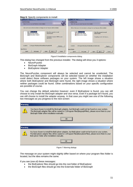#### **Step 6:** Specify components to install:

| NeuroPuzzles 1.4.0 Full Setup                                                                                                  | NeuroPuzzles 1.4.0 Full Setup                                                                                                 |
|--------------------------------------------------------------------------------------------------------------------------------|-------------------------------------------------------------------------------------------------------------------------------|
| $\vert x \vert$                                                                                                                | $\vert x \vert$                                                                                                               |
| <b>Custom Setup</b>                                                                                                            | <b>Custom Setup</b>                                                                                                           |
| Select the way you want features to be installed.                                                                              | Select the way you want features to be installed.                                                                             |
| Click on the icons in the tree below to change the way features will be installed.                                             | Click on the icons in the tree below to change the way features will be installed.                                            |
| NeuroPuzzles<br>⊜∙<br>Main files required to install<br>NeuroPuzzles.<br>BioGraph adapter<br>o-1<br>o-l<br>BioExplorer adapter | NeuroPuzzles<br>o•<br>Main files required to install<br>NeuroPuzzles.<br>$x \cdot$<br>BioGraph adapter<br>BioExplorer adapter |
| This feature requires 38MB on your<br>hard drive.                                                                              | Compiling cost for this feature                                                                                               |
| C:\Program Files\NeuroFlasher\NeuroPuzzles\Full\                                                                               | C:\Program Files\NeuroFlasher\NeuroPuzzles\Full\                                                                              |
| Location:                                                                                                                      | Location:                                                                                                                     |
| Browse                                                                                                                         | Browse                                                                                                                        |
| NeuroFlasher                                                                                                                   | NeuroFlasher                                                                                                                  |
| Disk Usage                                                                                                                     | Disk Usage                                                                                                                    |
| $<$ Back                                                                                                                       | $<$ Back                                                                                                                      |
| Next                                                                                                                           | Next                                                                                                                          |
| Cancel                                                                                                                         | Cancel                                                                                                                        |
| Reset                                                                                                                          | Reset                                                                                                                         |

Figure 6 Installation components dialog

This dialog has changed from the previous installer. The dialog will show you 3 options:

- NeuroPuzzles
- BioGraph Adapter
- BioExplorer Adapter

The NeuroPuzzles component will always be selected and cannot be unselected. The BioGraph and BioExplorer components will be selected based on whether the installation could detect these software packages on your system. The left image shows a situation where both BioExplorer and BioGraph were found, the right image shows a situation where neither packages could be found. Other combinations based on your specific configuration are possible of course.

You can change the default selection however: even if BioExplorer is found, you can still choose to only install the BioGraph adapter and vice versa. Even if a package isn't found, you can still choose to install the adapter anyway. In that case you might see one of the following two messages as you progress to the next screen:

| Warning |                                                                                                                                                                                                                                                                           |
|---------|---------------------------------------------------------------------------------------------------------------------------------------------------------------------------------------------------------------------------------------------------------------------------|
|         | You have chosen to install the BioGraph adapter, but BioGraph could not be found on your system.<br>The BioGraph adapter files will be copied to C:\Program Files\BiographFiles\, please move them to your<br>BioGraph folder after installation manually.                |
|         |                                                                                                                                                                                                                                                                           |
|         |                                                                                                                                                                                                                                                                           |
| Warning |                                                                                                                                                                                                                                                                           |
|         | You have chosen to install the BioExplorer adapter, but BioExplorer could not be found on your system.<br>The BioExplorer adapter files will be copied to C:\Program Files\BioexplorerFiles\, please move them to your<br>BioExplorer folder after installation manually. |
|         |                                                                                                                                                                                                                                                                           |

Figure 7 Warning dialogs

The message on your system might slightly differ based on where your program files folder is located, but the idea remains the same.

If you see (one of) these messages:

- the BioExplorer files should go into the root folder of BioExplorer
- the BioGraph files should go into the Externals folder of BioGraph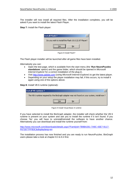**Step 7:** Install the Flash player:

| Install Flash? |                                                     |
|----------------|-----------------------------------------------------|
|                | Do you wish to install the Flash 10.0.22.87 Player? |
|                | No                                                  |
|                |                                                     |

Figure 8 Install Flash?

The Flash player installer will be launched after all game files have been installed.

Alternatively you can:

**Step 8:** Install VB 6 runtime (optional)**:** 

- Open the test page, which is available from the start menu (the '**Run NeuroPuzzles standalone**' option) and the game folder, which should be opened in *Microsoft Internet Explorer* for a correct installation of the plug-in.
- Visit [http://www.adobe.com](http://www.adobe.com/) (using *Microsoft Internet Explorer*) to get the latest player.
- Depending on your setup the player installation may fail, if this occurs, try to install it again using one of the options above.

| Install VB runtime?<br>×                                                                      |
|-----------------------------------------------------------------------------------------------|
| The VB 6 runtime required by the BioGraph adapter was not found on your system, install now ? |
| No.                                                                                           |

Figure 9 Install Visual Basic 6 runtime

If you have selected to install the BioGraph adapter, the installer will check whether the VB 6 runtime is present on your system and ask you to install the runtime if it isn't found. If you choose 'No' you will have to uninstall/reinstall the software to have another chance. Alternatively you can download and install the runtime yourself from:

[http://www.microsoft.com/downloads/details.aspx?FamilyId=7B9BA261-7A9C-43E7-9117-](http://www.microsoft.com/downloads/details.aspx?FamilyId=7B9BA261-7A9C-43E7-9117-F673077FFB3C&displaylang=en) [F673077FFB3C&displaylang=en](http://www.microsoft.com/downloads/details.aspx?FamilyId=7B9BA261-7A9C-43E7-9117-F673077FFB3C&displaylang=en)

The installation process has now finished and you are ready to run NeuroPuzzles. BioGraph users please take a look at chapter 8.3 & 8.4 first.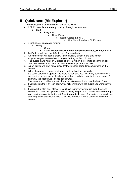# <span id="page-12-0"></span>**5 Quick start (BioExplorer)**

- 1. You can load the game design in one of two ways:
- if BioExplorer **is not already** running, through the start menu:
	- o Start
		- Programs
			- NeuroFlasher
				- o NeuroPuzzles 1.4.0 Full
					- **Run NeuroPuzzles in BioExplorer**
- if BioExplorer **is already** running:
	- o Design
		- Open
		- Select **Designs\neuroflasher.com\NeuroPuzzles\_v1.4.0\_full.bxd**
- 2. BioExplorer will load the default NeuroPuzzles design.
- 3. An intro screen will appear that will automatically switch to the play screen as you start your session by clicking on the Play or Record icon.
- 4. The puzzle starts with only 9 pieces at level 1. When the client finishes the puzzle, the lines will disappear for a moment to see the picture at its best.
- 5. A new puzzle will start with a piece that will appear at random somewhere on the screen.
- 6. When the game is paused or stopped (automatically or manually), the score screen will appear. The score screen tells you how many points you have collected in the last round, the duration of that round (time in minutes and seconds) and what the speed was (pieces per minute). The lower box provides you with this information graphically over the last 15 rounds.
- 7. If you click on the Play icon again, you will continue with the puzzle you were playing last.
- 8. If you want to start over at level 1, you have to move your mouse over the client screen and press the **Options** button: a dialog will pop out. Click on '**Update settings and reset session**' in the top left '**Session control**' panel. The options screen closes and the game starts over at level 1, just like the overall round scores in the score screen.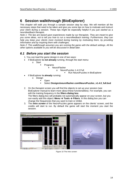# <span id="page-13-0"></span>**6 Session walkthrough (BioExplorer)**

This chapter will walk you through a sample session step by step. We will mention all the necessary steps that need to be taken and give you some tips on how to motivate and instruct your client during a session. These tips might be especially helpful if you just *started* as a neurofeedback therapist.

*Note 1: The tips are based upon experiences made by our therapists. They are meant to give you some ideas, not to tell you how to run a neurofeedback training. Furthermore, they can help you keep your clients more involved during training by motivating them, by providing information and by inspiring them with challenges.* 

*Note 2: This walkthrough assumes you are running the game with the default settings. All the other options available to you will be discussed in detail later.* 

## <span id="page-13-1"></span>*6.1 Before you start the session*

- 1. You can load the game design in one of two ways:
- if BioExplorer **is not already** running, through the start menu:
	- o Start
		- **Programs** 
			- NeuroFlasher
				- o NeuroPuzzles 1.4.0 Full
					- Run NeuroPuzzles in BioExplorer
- if BioExplorer **is already** running:
	- o Design
		- Open
		- Select **Designs\neuroflasher.com\NeuroPuzzles\_v1.4.0\_full.bxd**
- 2. On the therapist screen you will find the objects to set up your session (see BioExplorer manual to learn more about these functionalities). For example, you can edit the training frequency in the **filters dialog box**. The filters dialog box will probably not automatically appear on your screen, but you can easily add this object**: Menu Tools Filters**. In this dialog box you can change the frequencies that you want to train or inhibit.
- 3. The *intro screen* of the NeuroPuzzles game appears on the clients' screen, and the credits will start to run. By default the game will start the moment you start the session.



Figure 10 The intro screen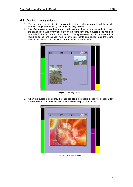## <span id="page-14-0"></span>*6.2 During the session*

- 1. You are now ready to start the session: just click on **play** or **record** and the puzzle game will begin automatically and show the *play screen.*
- 2. The *play screen* shows the current round, level and the clients' score and, of course, the puzzle itself. With every 'good' action the client performs, a puzzle piece will fade in a little further and once it has been completely revealed, a point is awarded. A round takes as long as you want, a level represents one puzzle, and the score reflects the pieces shown within this round. More on scores later.



Figure 11 The play screen I

3. When the puzzle is complete, the lines depicting the puzzle pieces will disappear for a short moment and the client will be able to see the picture at its best.



Figure 12 The play screen II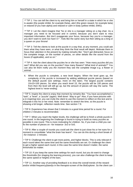TIP 1: You can tell the client to try and bring him or herself in a state in which he or she is *awake* (the purple inhibit, for example theta), *alert* (the green reward, for example beta) or *relaxed* (if you train alpha) and *relaxed or calm* in body (yellow inhibit, EMG).

TIP 2: Let the client imagine that "he or she is a manager sitting on a big chair. As a manager you need to be focused and in control, because you don't want to miss important information. *But* don't exaggerate your focus, because hey you're a manager, you don't want to work too hard  $\odot$ ! ". Kids like the same story but then sitting as a king or a queen on your throne!

**TIP 3: Tell the clients to look at the puzzle in a way that, at any moment, you could ask** them what they have seen, or what they think the final result will depict. Motivate them to focus their attention in the present by making remarks like: "Don't get distracted, focus on the complete image, on the number of pieces, on other details like the sound from the boxes (if applicable), and so on."

TIP 4: Ask the client about the puzzles he or she has seen: "How many puzzles did you see? What did you see on the puzzles? How many flowers? What kind of animals?" You can also let them notify you *the moment* they see the complete image e.g. a flower or animal.

4. When the puzzle is complete, a new level begins. When the level goes up, the complexity of the puzzle is increased by adding additional puzzle pieces (based on the default puzzle size settings, more on this later). The largest puzzle contains 10x10=100 pieces. So when you reach level 15, the puzzle will be 100 pieces and from then the level will still go up, but the amount of pieces will stay the same. The highest level is 'never-ending'.

TIP 5: Inspire the client to enjoy that moment by remarks like: "You have accomplished a "task", a "level", a "puzzle" (again). Well done! Way to go!" Also, if you have pictures with a (n inspiring) text, you can invite the client to use this moment to reflect on this text and to integrate it into his or her mind. Note: remember to stretch the time, so the puzzle is showing a bit longer, reflection needs time. See section 7.9.

TIP 6: Experience has shown that 3 minutes is a good time period for a round. For children 2 minutes is recommended.

TIP 7: When you reach the higher levels, the challenge will be to finish a whole puzzle in one round. In the beginning the challenge is found in trying to build as many puzzles as possible in one round. This is more motivating for children. So, if you train a child you can fix the number of pieces on –for instance- 3x3 or 5x5.

TIP 8: After a couple of rounds you could ask the client to just close his or her eyes for a moment to consolidate "what the brain has learnt". You can do this during a short break of –for instance- 2 minutes.

TIP 9: Challenge the client to get more points, and higher blocks. This is only relevant if each round takes the same time and the same thresholds are set. Or challenge the client to get a higher speed each round, in this case the same time doesn't matter, the same thresholds do matter.

 $\in$  TIP 10: If you keep the same time settings for each round, but you do want to change the thresholds (for shaping the learning process), you can also challenge the client to keep the same speed or heights of the bars.

TIP 11: Another way of providing feedback is to show the overall trends of the reward and/or inhibit frequency(band)s in the therapist-screen of the BioExplorer. So the client can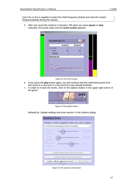see if he or she is capable to lower the inhibit frequency (band) and raise the reward frequency(band) during the session.

5. After one round (for instance 3 minutes), OR when you press **pause** or **stop** manually, the puzzle stops and the *score screen* appears:

| SCORE OVERVIEW ROUND   TO 3                      | press play to start the next round, or reset the session through the options menu | ORIOS<br>O craftication                        |
|--------------------------------------------------|-----------------------------------------------------------------------------------|------------------------------------------------|
|                                                  | THIS ROUND (3)                                                                    | <b>DEST ROUND (1)</b>                          |
| <b>PIECES SCORED:</b>                            | $\overline{12}$                                                                   | 10                                             |
| TIME PLAVED.                                     | 00.21                                                                             | 00 20                                          |
| <b>PIECES PER MINUTE</b><br>(назначае (нас нако) | 36                                                                                | $\overline{37}$                                |
| <b>OVERALL ROUND SCORES:</b><br>2<br>з           | Conscores to riphones                                                             | <b>Post in full color</b><br>Print in aca mode |

Figure 13 The score screen

- 6. If you press the **play** button again, you will continue with the unfinished puzzle from last round or a new one in a next level (if it was already finished).
- 7. In order to re-start the levels, click on the options button in the upper right corner of the game:



Figure 14 The options button

followed by 'Update settings and reset session' in the Options dialog:

| <b>NEUROPUZZLES OPTIONS</b>                       |
|---------------------------------------------------|
| Session control (applied when you click update)   |
| Controlled by playing/pausing host program        |
| Round<br>03:00<br>duration                        |
| Pause<br>00:05<br>duration                        |
| Number of<br>10<br>rounds                         |
| Update settings taking effect next round          |
| Update settings and start new round               |
| Update settings ap a reset session<br>End session |

Figure 15 The session control panel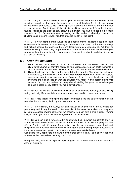**TIP 13:** If your client is more advanced you can switch the amplitude screen of the inhibit, or reward, or –if relevant- the emg to the screen of the client (click right mouseclick on that object and select 'switch window'). Now challenge the client to get the number over or under xx. For instance, if the clients amplitude was about 22u in the first two rounds, challenge the client to stay below that number. You can also set the threshold manually on 22u. Be aware of over focussing on this number, it should just be a nice challenge and a means to work with that provides insight for the client.

TIP 14: If your client is more advanced and needs another challenge: let them train some rounds in between *without* looking at the monitor (turn them or the monitor away) and without hearing the tones, so the client doesn't get any feedback at all. Ask them to behave similarly to when they do get feedback. Then, when the round has finished, you can show them the results in the score screen (e.g. are they able to inhibit and/or show the right brain activity?).

#### <span id="page-17-0"></span>*6.3 After the session*

- 1. When the session is done, you can print the scores from the score screen for the client to take home, or copy the scores to your clipboard so you can paste them into a word document or email them. You can do this using the buttons on the score screen.
- 2. Close the design by clicking on the lower **[x]** in the right top (the upper [x], will close BioExplorer!), or by selecting **Exit** in the **BioExplorer Menu**. *Don't save the design*, unless you want to save your changes of course. If you do save the design, you will overwrite the original design with the changes you made in this design during this session. You can only retrieve this design by reinstalling the game, so we advise you to make a backup copy before you make any changes.

**TIP 15: Ask the client to practise the 'brain state' that they have trained (see also TIP 1)** during their daily life, especially at moments when they need to concentrate or relax

**TIP** 16: A nice trigger for helping the brain remember is looking at a screenshot of the neurofeedback screens, depicting the bars and a puzzle.

**TIP 17: For children, it is always fun and motivating to give him or her a reward for** performing well during the session. An example of this could be stickers that they can collect on a special reward card. After ten sessions you can give a child a bigger reward that you've bought or that the parents agreed upon with their child.

TIP 18: You can glue a reward card in an exercise book in which the parents and you can jointly write down details like behaviours of the child to monitor the progress and effects. For the child it's great if you write down his or her game score, level and compliments like how relaxed the child was during the game. Using the print option from the score screen allows you to print a nice score overview to take home.

Also adults really appreciate it to have a print of their scores. They like to show it at home or to remember themselves that they 'can do it!'

Using the Copy Scores to Clipboard options gives you a table that you can paste into word for example.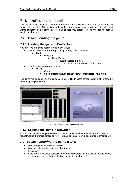# <span id="page-18-0"></span>**7 NeuroPuzzles in detail**

This section discusses all the different features of NeuroPuzzles in more detail, outside of the context of a session. This section explains the features assuming everything is installed and works correctly. If the game fails to load or respond, please refer to the troubleshooting section in chapter 9.

## <span id="page-18-1"></span>*7.1 Basics: loading the game*

## <span id="page-18-2"></span>**7.1.1 Loading the game in BioExplorer**

You can load the game design in one of two ways:

- if BioExplorer **is not already** running, through the startmenu:
	- o Start
		- Programs
			- NeuroFlasher
				- o NeuroPuzzles 1.4.0 Full
					- **Run NeuroPuzzles in BioExplorer**
- if BioExplorer **is already** running:
	- o Design
		- Open
			- Select **Designs\neuroflasher.com\NeuroPuzzles\_v1.3.0.bxd**

The game will load and you should see something like this (the screen layout might differ a bit depending on your setup):



Figure 16 NeuroPuzzles within BioExplorer

## <span id="page-18-3"></span>**7.1.2 Loading the game in BioGraph**

In BioGraph simply open your screen that has a connection instrument in it which refers to NeuroPuzzles. For more details on how to create such a screen, please refer to Chapter 8.4.

## <span id="page-18-4"></span>*7.2 Basics: verifying the game works*

- Load the game as described above
- Load sample session data and play it back
- Press play
- If the game is installed correctly, the game will start to run and display puzzle pieces, if not please refer to the troubleshooting section in chapter 9.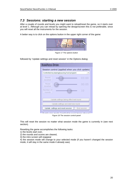## <span id="page-19-0"></span>*7.3 Sessions: starting a new session*

After a couple of rounds and levels you might want to reload/reset the game, so it starts over at level 1. Although you can reload by opening the design/screen this is not preferable, since you will reset all the instruments for the session.

A better way is to click on the options button in the upper right corner of the game:



followed by 'Update settings and reset session' in the Options dialog:

| Session control (applied when you click update)<br>Controlled by playing/pausing host program |
|-----------------------------------------------------------------------------------------------|
|                                                                                               |
|                                                                                               |
| Round<br>03:00<br>duration                                                                    |
| Pause<br>00:05<br>duration                                                                    |
| Number of<br>$1 \Omega$<br>rounds                                                             |
|                                                                                               |
| Update settings taking effect next round                                                      |
| Update settings and start new round                                                           |
| Update settings and reset session<br>End session                                              |

Figure 18 The session control panel

This will reset the session no matter what session mode the game is currently in (see next section).

Resetting the game accomplishes the following tasks:

- 1) the levels start over,
- 2) the rounds and scores are cleared,
- 3) the intro screen will reappear

4) the session mode will change to your selected mode (if you haven't changed the session mode, it will stay in the same mode it already was)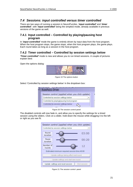## <span id="page-20-0"></span>*7.4 Sessions: input controlled versus timer controlled*

There are two ways of running a session in NeuroPuzzles, '*input controlled'* and '*timer controlled'*, with '*input controlled*' being the simplest mode, already available in previous versions of the game as well.

#### <span id="page-20-1"></span>**7.4.1 Input controlled – Controlled by playing/pausing host program**

In '*input controlled*' mode the game is entirely driven by input data from the host program. When the host program stops, the game stops, when the host program plays, the game plays. Each round takes as long as a session in the host program.

## <span id="page-20-2"></span>**7.4.2 Timer controlled – Controlled by session settings below**

*'Timer controlled'* mode is new and allows you to run timed sessions. A couple of pictures explain best:

Open the options dialog:



Figure 19 The options button

Select 'Controlled by session settings below' in the dropdown box:

| Session control (applied when you click update) |  |
|-------------------------------------------------|--|
| Controlled by session settings below            |  |
| Controlled by playing/pausing host program.     |  |
| Controlled by session settings below            |  |
|                                                 |  |

Figure 20 The session control panel

The disabled controls will now fade in, and allow you to specify the settings for a timed session using the sliders. Click on a slider, hold down the mouse while dragging it to the left or right as you see fit:



Figure 21 The session control panel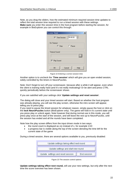Note, as you drag the sliders, how the estimated minimum required session time updates to reflect the total session time required to run a timed session with these settings. **Make sure** you enter this session time in the host program before starting the session, for example in BioExplorer you can control this through:

| <b>Session Timer</b>                               | $\overline{\mathbf{x}}$ |  |  |  |
|----------------------------------------------------|-------------------------|--|--|--|
| 곡<br>00:40:00<br><b>▽</b> Time Session             |                         |  |  |  |
| <b>On Timeout</b><br>$\subseteq$ Stop<br>$C$ Pause |                         |  |  |  |
| <b>Timeout Sound</b>                               |                         |  |  |  |
| <b>▽</b> Play Sound                                |                         |  |  |  |
| 0K<br>Cancel<br>Help                               |                         |  |  |  |

Figure 22 Entering a correct session time

Another option is to uncheck the '**Time session**' which will give you an open ended session, solely controlled by the timers in NeuroPuzzles.

Note: Don't forget to turn off your screensaver, because after a while it will appear, even when the client is training really hard (and it's not really motivating)! Or be alert and press CTRL quickly periodically before the screensaver shows.

If you are satisfied with your settings click '**Update settings and reset session**'.

The dialog will close and your timed session will start. Based on whether the host program was already playing, you will see the play screen, otherwise the intro screen will appear, telling you to press play.

If you need to pause the timed session for whatever reason, simply pause the host or click on the **lock NeuroPuzzles** button (BioExplorer only). The game will hold in it's current state until you press play or unlock again. Note however that during normal use in this mode, you will press play once at the start of the session, and will leave the rest up to NeuroPuzzles, until the session has ended and all the rounds have been completed.

Note how the play screen differs from the input driven mode in two ways:

- the round count is displayed as x/y instead of x, for example 1/10
- a progress bar is visible along the top of the screen denoting the time left for the current state of the game

During a timed session, there are several options available to you, previously disabled:

| Update settings taking effect next round         |  |  |
|--------------------------------------------------|--|--|
| Update settings and start new round              |  |  |
| Update settings and reset session<br>End session |  |  |

Figure 23 The session control options

**Update settings taking effect next round,** will use your new settings, but only after the next time the score overview has been shown.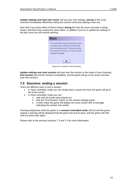**Update settings and start new round,** will use your new settings, **and go** to the score overview immediately effectively ending the current round and starting a new one.

Note that if you press either of these buttons **during** the time the score overview is being shown, that they have exactly the same effect. In addition if you try to update the settings in the last round you will receive warning:

| The specified amount of rounds is less<br>or equal to the number of rounds that<br>have already passed. Please increase<br>the number of rounds, or choose reset<br>instead of update. |
|----------------------------------------------------------------------------------------------------------------------------------------------------------------------------------------|
| ΩK                                                                                                                                                                                     |

Figure 24 A session control warning

**Update settings and reset session** will start over the session in the mode of your choosing. **End session** will end the session immediately, and the game will go to the score overview (see next section)

#### <span id="page-22-0"></span>*7.5 Sessions: ending a session*

There are different ways to end a session:

- in 'input controlled' mode you can simply stop or pause the host, the game will go to the score screen.
- in 'timer controlled' mode you can:
	- o wait until all rounds have played out
	- o click the 'End Session' button on the session settings panel,
	- o in both cases the game will display the score screen with a message indicating the session has ended.

Pressing stop/pause while the game is in **session controlled mode,** will not end the game, instead a warning will be displayed that the game has lost its input, and the game will hold until you press play again.

Please refer to the previous sections 7.3 and 7.4 for more information.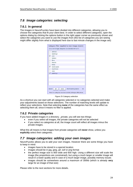## <span id="page-23-0"></span>*7.6 Image categories: selecting*

#### <span id="page-23-1"></span>**7.6.1 In general**

The images in NeuroPuzzles have been divided into different categories, allowing you to choose the categories that fit your client best. In order to select different categories, open the options dialog by clicking the options button in the right upper corner as previously shown and select the categories you want to use the images from (the list of categories you are seeing might differ slightly from what is displayed here due to last minute changes in the image set):

| Category filter (applied to next image shown)<br>(Your own image categories are denoted with an *) |  |  |  |  |
|----------------------------------------------------------------------------------------------------|--|--|--|--|
| animals                                                                                            |  |  |  |  |
| ۰<br>buildings                                                                                     |  |  |  |  |
| $\sqrt{}$<br>cars                                                                                  |  |  |  |  |
| -1<br>fantasy                                                                                      |  |  |  |  |
| ┓<br>flora                                                                                         |  |  |  |  |
| ┓<br>fractals                                                                                      |  |  |  |  |
| □<br>funny                                                                                         |  |  |  |  |
| √<br>landscapes                                                                                    |  |  |  |  |
| $\Box$<br>machinery                                                                                |  |  |  |  |
| □<br>misc                                                                                          |  |  |  |  |
| ⊻<br>paintings                                                                                     |  |  |  |  |
|                                                                                                    |  |  |  |  |
|                                                                                                    |  |  |  |  |
|                                                                                                    |  |  |  |  |
|                                                                                                    |  |  |  |  |
|                                                                                                    |  |  |  |  |
| Select:<br>all<br># of matching levels:<br>none<br>98                                              |  |  |  |  |
| Note: if no categories have been selected, all images will be shown.                               |  |  |  |  |

Figure 25 Category selection

As a shortcut you can start with all categories selected or no categories selected and make your adjustments based on those selections. The number of matching levels will update to reflect your selections. Note that selecting **none** of the categories has the same effect as selecting them all, since it means no filter is applied.

#### <span id="page-23-2"></span>**7.6.2 Private categories**

If you have added images in a directory \_private, you will see two things:

- even if you select all images, the private categories will not be selected
- if you select no categories at all, the image count will reflect all images minus the private images.

What this all means is that images from private categories will **never** show, unless you **explicitly** select their categories.

## <span id="page-23-3"></span>*7.7 Image categories: adding your own images*

NeuroPuzzles allows you to add your own images. However there are some things you have to keep in mind:

- images have to be stored in a special location
- images should be in jpg, jpeg, gif, swf or png format
- the perfect image size is 800 wide and 600 high. Using a different size will scale the image (the proportions are constrained), but using a much larger or smaller image will result in a lower quality and in case of a much larger image, possibly memory issues
- images should be somewhere around a maximum of 300kb (which is already **very** large for an image of that size)

Please refer to the next sections for more details.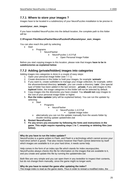## <span id="page-24-0"></span>**7.7.1 Where to store your images ?**

Images have to be located in a subdirectory of your NeuroPuzzles installation to be precise in:

#### **assets\your\_own\_images**

If you have installed NeuroPuzzles into the default location, the complete path to this folder will be:

#### **C:\Program Files\NeuroFlasher\NeuroPuzzles\Full\assets\your\_own\_images**

You can also reach this path by selecting:

Start

o Programs

**NeuroFlasher** 

- NeuroPuzzles 1.4.0 Full
	- o Open Personal Image Folder

Before you start copying images to this location, please note that images **have to be in subdirectories as explained below**.

## <span id="page-24-1"></span>**7.7.2 Adding (private/hidden) images into categories**

Adding images into categories is done in a couple of easy steps:

- 1. Open your personal image folder (see 7.7.1)
- 2. Create directories in this folder to hold your images, for example '**animals**'
- 3. If you want to, create subfolders to manage your image collection, for example, within the aforementioned directory '**animals**', you can create a directory '**cats**'. One special type of folder has been added in the last version: **private.** If you add images to this **toplevel** folder, the image categories in this folder will not be selected by default.
- 4. Copy images into the directories you have created. You **should not** copy images to the root of your personal image folder or higher.
- 5. **Run the index updater** (why will be explained below). You can run the updater by selecting:
	- o Start
- Programs
	- NeuroFlasher
		- o NeuroPuzzles 1.4.0 Full
			- **Update image index**
- o alternatively you can run the updater manually from the assets folder by double-clicking update updateIndex.bat
- **6. Restart NeuroPuzzles**
- **7. Fix any errors you encounter by following the hints and instructions in the game. This might require repeating steps 1 to 7, renaming or deleting files (see below).**

#### **Why do you have to run the index updater?**

NeuroPuzzles is a game written in Flash, and Flash is a technology which cannot access your hard drive (which is good). That also means however that Flash cannot determine by itself which images are available to it on your hard drive, it needs some help.

Help comes in the form of an index.nps file which stands for index.neuropuzzles. NeuroPuzzles always checks this file for information on the images that are available to it, and you create and update this file by running the updateIndex.bat

Both files are very simple and you can open them in any texteditor to inspect their contents, but do not change them manually, since the game might no longer work.

#### **Why do you have to restart the game after updating the index?**

The image index is read as the game starts. Thus in order to reread a modified index, the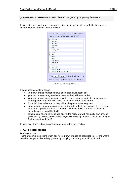game requires a **restart** (not a reset). **Restart** the game by reopening the design.

If everything went well, each directory created in your personal image folder becomes a category for you to use in NeuroPuzzles:

| (Your own image categories are denoted with an *)                                                                              |  |  |  |
|--------------------------------------------------------------------------------------------------------------------------------|--|--|--|
| □<br>animals                                                                                                                   |  |  |  |
| □<br>animals*                                                                                                                  |  |  |  |
| $\Box$<br>australia *                                                                                                          |  |  |  |
| □<br>buildings                                                                                                                 |  |  |  |
| $\Box$<br>cars                                                                                                                 |  |  |  |
| □<br>client 123*                                                                                                               |  |  |  |
| $\Box$<br>fantasy                                                                                                              |  |  |  |
| П<br>flora<br>п                                                                                                                |  |  |  |
| $\Box$<br>fractals                                                                                                             |  |  |  |
| □<br>funny                                                                                                                     |  |  |  |
| $\Box$<br>landscapes                                                                                                           |  |  |  |
| $\Box$<br>machinery                                                                                                            |  |  |  |
| E<br>misc                                                                                                                      |  |  |  |
| $\overline{\phantom{a}}$<br>paintings                                                                                          |  |  |  |
| П<br>superheroes*                                                                                                              |  |  |  |
| П<br>superheroes - incredible hulk*                                                                                            |  |  |  |
| Select:<br># of matching levels:<br>all<br>410<br>none<br>Note: if no categories have been selected, all images will be shown. |  |  |  |

Figure 26 Own image categories

Please note a couple of things:

- your own image categories have been added alphabetically
- your own image categories have been marked with an asterisk.
- your own image categories can have the same name as preinstalled categories, causing them to appear twice: once with, once without an asterisk.
- if you left directories empty, they will not be present as categories
- subdirectories appear as names separated with a dash, for example if you have a directory 'superheroes' with a directory 'incredible\_hulk' in it, it will show up as 'superheroes – incredible\_hulk'
- although not shown in the image above, the sort order will be: public own images (selected by default), preinstalled images (selected by default), private own images (not selected by default)

In case everything did not go well, please refer to the next section.

#### <span id="page-25-0"></span>**7.7.3 Fixing errors**

#### **Obvious errors**

There are some restrictions when adding your own images as described in 7.7, and where possible the game tries to help you out by notifying you of any errors it has found: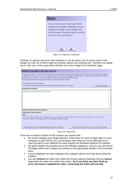

Figure 27 Image error notification

Clicking 'no' ignores the errors and continues to run the game, but of course some of the images (or even all of them) might be missing, without you knowing why. Therefore we advise you to click 'yes' in this case which will take you to the 'Image Error Overview' page:

| UVERVIEW OF THE ERRORS IN VOUR IMAGE DIRECTORY                                                                                                                                                                                                                                                                                                                                                                                                             |                   |
|------------------------------------------------------------------------------------------------------------------------------------------------------------------------------------------------------------------------------------------------------------------------------------------------------------------------------------------------------------------------------------------------------------------------------------------------------------|-------------------|
| This window shows an overview of the errors that were found while loading your image index. The errors are divided into a number<br>of categories. Please click on a error category to view a list of offending images in that category. After fixing the problems with these<br>images on your harddrive, rerun the updatelmage bat and press the left bottom button.<br>If you decide not to fix the images at this time, click the right bottom button. |                   |
| Your image directory is located at:                                                                                                                                                                                                                                                                                                                                                                                                                        |                   |
| C:/Program Files/NeuroFlasher/NeuroPuzzles/Full/assets/your_own_images/                                                                                                                                                                                                                                                                                                                                                                                    | Copy to Clipboard |
| <b>Unsupported filetypes</b>                                                                                                                                                                                                                                                                                                                                                                                                                               |                   |
| Images outside of category directory                                                                                                                                                                                                                                                                                                                                                                                                                       |                   |
| Image path contains spaces                                                                                                                                                                                                                                                                                                                                                                                                                                 |                   |
| Hint:<br>You have added images whose filetypes are not supported. NeuroPuzzles only supports .png, .jpg, .jpeg, .swf and .gif.<br>Convert or remove the images and run the update command again.                                                                                                                                                                                                                                                           |                   |
| I have fixed the errors and updated the index, please recheck<br>Okay, I'm ignoring the errors for now, please continue                                                                                                                                                                                                                                                                                                                                    |                   |

#### Figure 28 Fixing errors

There are a number of items on this screens you should note:

- the screen displays your image directory. Flash does not have enough rights on your computer to open this for you, but the game does help you out by allowing you to copy the path to your clipboard for easy pasting into Windows Explorer for example
- the game divides the possible errors into different categories, and you can see the list of images within each category by clicking on the appropriate header in the accordion pane.
- a hint is displayed for each separate error category about how to go about fixing the problem
- you can **recheck** the index from within this screen without restarting, but you **cannot** regenerate the index from within this screen. **So if you think you have fixed an error, but haven't updated the index, rechecking the index will not help.**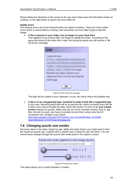Please follow the directions in this screen to fix your errors then press the left bottom button to continue, or the right button to ignore the errors after all.

#### **Subtle errors**

The obvious errors are errors NeuroPuzzles can detect at startup. There are a few subtle errors which it cannot detect at startup, and sometimes not even after trying to load the image:

**A file is present in your index, but no longer on your hard drive** 

This happens if you remove files, but forget to update the index. According to the game the format of the index file is valid, but during the game you will receive a 'file not found' message:

| Could not load                                        |
|-------------------------------------------------------|
|                                                       |
| The image                                             |
| filename has been copied to your                      |
| clipboard.Press OK to try and load the<br>next image. |
| OK                                                    |

Figure 29 File not found message

The path will be copied to your clipboard, so you can check where the problem lies.

 **A file is of an unsupported type, renamed to make it look like a supported type**  In this case, NeuroPuzzles/Flash will try to load the file, which succeeds since the file is there, but it cannot handle the data, which will result in no error at all, **just a blank screen** instead of a puzzle. Make sure you do not for example rename .bmp to .jpg files, this will not work, you have to actually convert them using some kind of conversion tool. Google is your friend: [http://www.google.com/search?hl=en&rls=com.microsoft%3Aen-us%3AIE-](http://www.google.com/search?hl=en&rls=com.microsoft%3Aen-us%3AIE-SearchBox&rlz=1I7GFRC&q=bmp2jpg.exe)[SearchBox&rlz=1I7GFRC&q=bmp2jpg.exe](http://www.google.com/search?hl=en&rls=com.microsoft%3Aen-us%3AIE-SearchBox&rlz=1I7GFRC&q=bmp2jpg.exe)

## <span id="page-27-0"></span>*7.8 Changing puzzle size modes*

Not every client is the same, based on age, ability and other factors you might want to limit the maximum puzzle size, surprise with a random size or keep the size the same. You can control these settings through the puzzle side mode panel in the options screen:



Figure 30 Puzzle size modes

This panel allows you to switch between 3 modes: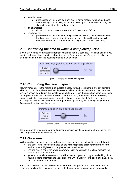- auto increase:
	- o puzzle sizes will increase by 1 per level in any direction, for example based on the settings above: 3x3, 3x4, 4x4, 4x5 etc up to 10x10. You can drag the sliders to adjust the start and end values.
- constant size:
	- o all the puzzles will have the same size: 3x3 or 4x4 or 5x5 or ....
- random size:
	- o puzzle sizes will vary between the given limits, without any relation between level and size. However the difference between the width and height will never be more than 2. For example you might see 3x3, 5x3, 8x6, 4x3, ....

## <span id="page-28-0"></span>*7.9 Controlling the time to watch a completed puzzle*

By default a completed puzzle will remain visible for about 2 seconds. This is a bit short if you want to ask your client questions about the puzzle for example, therefore you can alter this default setting through the options panel up to 30 seconds:



Figure 31 Changing the default puzzle pause

## *7.10 Controlling the fade in speed*

<span id="page-28-1"></span>New in version 1.4 is the fading in of puzzles pieces. Instead of 'gathering' enough points to show a puzzle piece, direct feedback is provided with every bit of reward the client receives, which is shown by fading in the puzzle piece a bit more. Once the piece has completely faded in the point is awarded. Default the score 'speed' is exactly the same in 1.4 as previously, however with this new functionality comes to option to change the default score speed. Although you will usually control this through the design/screen, this option gives you more fine-grained control over the scores:



Figure 32 Changing the default puzzle fade in speed

Do remember to write down your settings for a specific client if you change them, so you can still compare scores between sessions.

## *7.11 On scores*

<span id="page-28-2"></span>With regards to the score screen and scores in general there are a few things worth knowing:

- the best round is selected based on the **highest puzzle pieces per minute** score and not on the **highest puzzle pieces per round** value.
- moving over a bar in the lower diagram will provide you with a tooltip displaying the data for that particular round
- you can print all the scores with or without color or you can copy a detailed log of the round & score information to your clipboard, which allows you to paste this data into a word document for example.

A big difference with respect to versions of NeuroPuzzles prior to 1.3 is that scores will be registered anytime the play screen is active. In the previous versions you only received a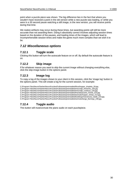point when a puzzle piece was shown. The big difference lies in the fact that where you wouldn't have received a point in the old version while a new puzzle was loading, or while you were in a 30 second pause watching a still image, in the new version, you will receive points during that time.

We realize artifacts may occur during these times, but awarding points will still be more accurate than not awarding them. Doing it absolutely correct involves adjusting session times based on the duration of the pauses, and loading times of the images, which will lead to incomprehensible session times and make the game much more complex than we wish it to be.

## <span id="page-29-0"></span>*7.12 Miscellaneous options*

#### <span id="page-29-1"></span>**7.12.1 Toggle scale**

Clicking this button will turn the autoscale feature on or off. By default the autoscale feature is on.

## <span id="page-29-2"></span>**7.12.2 Skip image**

If for whatever reason you want to skip the current image without changing everything else, click the skip image button in the options panel.

## <span id="page-29-3"></span>**7.12.3 Image log**

To copy a log of the images shown to your client in this session, click the 'image log' button in the options panel. This will create a log for the current session, for example:

C:/Program Files/NeuroFlasher/NeuroPuzzles/Full/assets/preinstalled/flora/hopper\_droplets\_29.jpg C:/Program Files/NeuroFlasher/NeuroPuzzles/Full/assets/preinstalled/misc/wijk\_fireworks\_105.jpg C:/Program Files/NeuroFlasher/NeuroPuzzles/Full/assets/preinstalled/misc/wijk\_cowboys\_126.jpg C:/Program Files/NeuroFlasher/NeuroPuzzles/Full/assets/preinstalled/fractals/joustra\_fractal\_210.jpg C:/Program Files/NeuroFlasher/NeuroPuzzles/Full/assets/preinstalled/animals/hopper\_sheep\_213.jpg C:/Program Files/NeuroFlasher/NeuroPuzzles/Full/assets/preinstalled/buildings/manuhuwa\_castle\_223.jpg C:/Program Files/NeuroFlasher/NeuroPuzzles/Full/assets/preinstalled/animals/berge\_flamingo\_238.jpg

## <span id="page-29-4"></span>**7.12.4 Toggle audio**

This button will mute/unmute the piano audio on each puzzlepiece.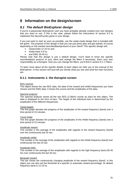# <span id="page-30-0"></span>**8 Information on the design/screen**

## <span id="page-30-1"></span>*8.1 The default BioExplorer design*

If you're a passionate BioExplorer user you have probably already created your own designs that you want to use. If this is the case, please follow the instructions of section 8.2 to implement the NeuroPuzzles game in your design.

If you just want to start as soon as possible, use the ready-made design that is included with the game. The purpose of this design is that you can just press play and get started, of course depending on the wanted neurofeedbackprotocol of your client!! This specific design will,:

- reward beta 12-15 hz and
- inhibit theta 4-8 hz,
- $\bullet$  and EMG 30-45 hz.

Please note that this design is just a default design, You'll need to know the specific neurofeedback protocol of your client and change the filters if necessary, that's your own responsibility as a therapist. How you can change the filters, you'll find in section 8.1.1 Filters.

To learn more about all the specific details of each object we refer you to the manual of the BioExplorer. In this section we'll just tell you shortly what you see and what the main functions are.

#### <span id="page-30-2"></span>**8.1.1 Instruments 1: the therapist screen**

#### EEG sources

This object shows the raw EEG data, the data of the reward and inhibit frequencies you have chosen and the EMG data. It shows the course and the amplitudes of the data.

#### Spectral analyzer

The spectral analyzer shows all the raw EEG (2-36Hz) counts as input for this object. The data is displayed in the form of bars. The height of the individual bars is determined by the amplitudes of the different frequencies.

#### Trend reward

This line graph denotes the progress of the amplitudes of the reward frequency (band) over a time period of 15 minutes.

#### Trend inhibit

This line graph denotes the progress of the amplitudes of the inhibit frequency (band) over a time period of 15 minutes.

#### Amplitude reward

This number is the average of the amplitudes with regards to the reward frequency (band) over the continuously last 20 sec.

#### Amplitude inhibit

This number is the average of the amplitudes with regards to the inhibit frequency (band) over continuously the last 20 sec.

#### Amplitude EMG

This number is the average of the amplitudes with regards to the high frequency band (30-45 hz) over continuously the last 30 sec.

#### Bargraph reward

This bar shows the continuously changing amplitude of the reward frequency (band). In this object you can also set the threshold at a specific or automatic reward percentage. Its default frequency band is 12-15 hz.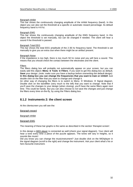#### Bargraph inhibit

This bar shows the continuously changing amplitude of the inhibit frequency (band). In this object you can also set the threshold at a specific or automatic reward percentage. Its default frequency band is 4-8 hz.

#### Bargraph EMG

This bar shows the continuously changing amplitude of the EMG frequency band. In this object the threshold is set manually, but can be changed if needed. The client will hear a sound if the threshold is passed.

#### Bargraph Total EEG

This bar shows the total EEG amplitude of the 2-36 hz frequency band. The threshold is set manually to give you an extra clue when there might be an artifact present.

#### Bargraph Noise

If the impedance is too high, there is too much 50 hz noise and you will here a sound. This means that you should check the contact between the electrodes and the client.

#### Filters

The filters dialog box will probably not automatically appear on your screen, but you can easily add this object**: Menu Tools Filters**. If you want to get this dialog box as default, **Save** your design. *(note: make sure you have a backup before overwriting the default design)*. **In this dialog box you can change the frequencies that you want to train or inhibit!** Just double click on the filter that you want to change and change it.

An other way of changing the filters is to switch to Menu  $\rightarrow$  Windows  $\rightarrow$  Signal diagram. Double click on the bandfilter (very much to the left) that you want to change. Note that if you'll save the changes to your design (when closing), you'll have the same filters again next time. This could be handy. But you can also choose to *not* save the changes and just change the filters every time on-the-fly, by using the Filters dialog box.

#### <span id="page-31-0"></span>**8.1.2 Instruments 2: the client screen**

At the clientscreen you will see the:

#### Bargraph reward

Bargraph inhibit

#### Bargraph EMG

The meaning of these bar graphs is the same as described in the section 'therapist screen'.

In this design a MIDI player is connected as well (check your signal diagram). Your client will hear a tone every time a piece of the puzzle appears. The tones will vary in heights, so it sounds like music!

Did you know you can change the musicinstrument? Just double click on the MIDIplayer in the signal diagram (scroll to the right) and change the instrument. Ask your client what's his or hers favourite instrument.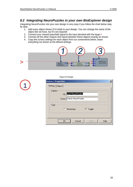J.

## <span id="page-32-0"></span>*8.2 Integrating NeuroPuzzles in your own BioExplorer design*

Integrating NeuroPuzzles into your own design is very easy if you follow the chart below step by step:

- 1. Add every object shown (3 in total) to your design. You can change the name of the object like we have, but it's not required
- 2. Connect your reward (pass/fail) signal to the input denoted with the large **>**
- 3. Connect all the other outputs and inputs between these objects exactly as shown
- 4. Copy the correct settings for each object from our screenshots below, leave everything not shown at the default settings.



| Figure 33 Design |
|------------------|
|                  |

|         | Button 1 Properties |                           |          | $\mathbf{x}$ |
|---------|---------------------|---------------------------|----------|--------------|
|         | Settings   Object   |                           |          |              |
| Caption |                     |                           |          |              |
|         |                     | Up: Lock NeuroPuzzles     |          |              |
|         |                     | Down: Unlock NeuroPuzzles |          |              |
| Type    |                     |                           |          |              |
|         |                     | Momentary                 | ⊙ Toggle |              |
|         |                     |                           |          |              |
|         | <b>OK</b>           | Cancel                    | Apply    | Help         |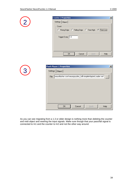

| <b>Counter 2 Properties</b>                                  |  |
|--------------------------------------------------------------|--|
| Settings   Object                                            |  |
| Count<br>C Rising Edge C Falling Edge C Time High C Time Low |  |
| Trigger Every: 1.0                                           |  |
|                                                              |  |
|                                                              |  |
| 0K<br>Cancel<br>Help<br>Apply                                |  |

|       | <b>Flash Player 1 Properties</b>                           | $\boldsymbol{\mathsf{x}}$ |
|-------|------------------------------------------------------------|---------------------------|
|       | Settings   Object                                          |                           |
| File: | neuroflasher.com\neuropuzzles_full\simpleAdapterLoader.swf |                           |
|       |                                                            |                           |
|       |                                                            |                           |
|       |                                                            |                           |
|       |                                                            |                           |
|       |                                                            |                           |
|       |                                                            |                           |
|       | 0K<br>Cancel<br>Help<br>Apply                              |                           |

As you can see migrating from a 1.3 or older design is nothing more than deleting the counter and midi object and rewiring the input signals. Make sure though that your pass/fail signal is connected to In1 and the counter to In2 and not the other way around.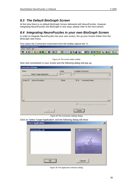## <span id="page-34-0"></span>*8.3 The Default BioGraph Screen*

At this time there is no default BioGraph Screen delivered with NeuroPuzzles. However integrating NeuroPuzzles into BioGraph is very easy; please refer to the next section.

## <span id="page-34-1"></span>*8.4 Integrating NeuroPuzzles in your own BioGraph Screen*

In order to integrate NeuroPuzzles into your own screen, fire up your Screen Editor from the BioGraph start menu.

First select the Connection Instrument from the toolbar (above the **^**):

| NeuroFlasherTestScreen.scr *                                                                                                                                                   |                                          |
|--------------------------------------------------------------------------------------------------------------------------------------------------------------------------------|------------------------------------------|
| Options Help<br>Screen                                                                                                                                                         |                                          |
| $\vert \mathbf{w} \vert$<br>$\blacksquare$ $\blacksquare$ $\blacksquare$ $\blacksquare$ $\blacksquare$<br><mark>イ<del>ಿ</del> ∞ ⊙</mark> 主│ <del>™</del> - /<br>n B∎ Eral Bhl. | e do 2 <del>2</del> - Do 3 3 5 6 4 6 6 6 |
|                                                                                                                                                                                |                                          |

Now click somewhere in your screen and the following dialog will pop up:

| Mode<br>None<br>Available Instruments<br>Select Target Application<br>None<br>Action ID<br>Action Description<br>Mode<br>ID $N$<br>Instrument Name | <b>Connection Settings</b> | 쯰 |
|----------------------------------------------------------------------------------------------------------------------------------------------------|----------------------------|---|
|                                                                                                                                                    |                            |   |
|                                                                                                                                                    |                            |   |
| F Run Target Application on Start Session<br><b>Cancel</b><br>0K                                                                                   |                            |   |

Figure 35 The connection settings dialog

Click on 'Select Target Application' and the following dialog will show:

| neuropuzzles_full                                            | полни<br>press play to start reuropeoples and pause to show the score connection<br><b>Bastings</b><br><b>HETER ROOMER</b><br><b>Generated</b><br><b>Test Bosson</b> |
|--------------------------------------------------------------|----------------------------------------------------------------------------------------------------------------------------------------------------------------------|
| $\overline{OK}$<br><u>\;;;;;;;;;;;;;;;;;;;;;;;;;;;;;;;;;</u> | Cancel                                                                                                                                                               |

Figure 36 The application selection dialog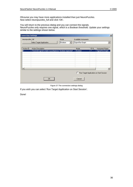Ofcourse you may have more applications installed than just NeuroPuzzles. Now select neuropuzzles\_full and click 'OK'.

You will return to the previous dialog and you can connect the signals. NeuroPuzzles only requires one signal, which is a Boolean threshold. Update your settings similar to the settings shown below.

| <b>Connection Settings</b> |                                                                                   |                 |                                           |           | $\vert x \vert$                              |
|----------------------------|-----------------------------------------------------------------------------------|-----------------|-------------------------------------------|-----------|----------------------------------------------|
| neuropuzzles_full          | Select Target Application                                                         | Mode<br>Boolean | Available Instruments<br>Signal Bar Graph |           | ▼                                            |
| Action ID<br>Ö             | Action Description<br>Threshold signal to fade in puzzlepieces "boolean expected" |                 | Mode<br>Boolean                           | ID N<br>7 | <b>Instrument Name</b><br>Signal Bar Graph   |
|                            | 0K                                                                                |                 | Cancel                                    |           | ▶<br>Run Target Application on Start Session |



If you wish you can select 'Run Target Application on Start Session'.

Done!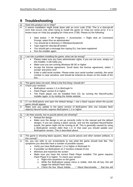# **9 Troubleshooting**

<span id="page-36-0"></span>

| Q: | Does this product run in Vista?                                                         |
|----|-----------------------------------------------------------------------------------------|
| А: | It seems installation might break down with an error code 2738. This is a vbscript.dll  |
|    | error that occurs only when trying to install the game on Vista (on some pc's). It is a |
|    | known issue on Vista (try googling for Vista error 2738). Please try the following:     |
|    |                                                                                         |
|    | • Start button -> All Programs -> Accessories -> Right click on Command                 |
|    | Prompt, select Run as administrator'                                                    |
|    | • You should be in directory C:\Windows\System32                                        |
|    | Type regsvr32 vbscript.dll (enter)<br>$\bullet$                                         |
|    | You should get a message box saying DLL has been registered<br>٠                        |
|    | Run the installer again.<br>٠                                                           |

| Q: | I ran into a problem installing the game, what can be wrong?                                                                                                                                                                                                                                                                                                                                                                                                                                                          |
|----|-----------------------------------------------------------------------------------------------------------------------------------------------------------------------------------------------------------------------------------------------------------------------------------------------------------------------------------------------------------------------------------------------------------------------------------------------------------------------------------------------------------------------|
| А: | Please make sure you have administrator rights, if you are not sure, simply run<br>$\bullet$<br>the installer, it will notify you.<br>Make sure you are running Windows 98 SE or higher<br>$\bullet$<br>Accept the license agreement. Scroll down the license agreement, select 'I<br>$\bullet$<br>accept' and press next<br>Enter a valid serial number. Please enter your serial number carefully, the serial<br>$\bullet$<br>number is case sensitive, and should be entered as shown on the inside of the<br>box. |

| Q: | The game does not work. What is the first thing I should do?                                                                   |  |  |
|----|--------------------------------------------------------------------------------------------------------------------------------|--|--|
| А: | Check your versions:                                                                                                           |  |  |
|    | • BioExplorer version 1.3 or BioGraph 5+                                                                                       |  |  |
|    | • Flash Player version 8 or higher                                                                                             |  |  |
|    | • The Flash player can be installed from CD, by running the NeuroPuzzles<br>installer again, or by visiting the Adobe website. |  |  |

| Q:   If I run BioExplorer and open the default design, I see a black square where the puzzle |
|----------------------------------------------------------------------------------------------|
| game should appear.                                                                          |
| A:   Make sure you update to the latest version of BioExplorer (this one includes flash      |
| objects). Neuro Puzzles requires Bio Explorer 1.3 or higher.                                 |

| Q:    | I do hear sounds, but no puzzle pieces are showing?                                                                                                                                                                                                                                                                                                                              |
|-------|----------------------------------------------------------------------------------------------------------------------------------------------------------------------------------------------------------------------------------------------------------------------------------------------------------------------------------------------------------------------------------|
| $A$ : | • Reload the design                                                                                                                                                                                                                                                                                                                                                              |
|       | • Make sure the design is set up correctly (refer to the manual and the default<br>design). If you are seeing a black canvas, and not the standard NeuroFlasher<br>purple, the game might not be running at all. This is generally caused by using<br>a BioExplorer version older than 1.3. In that case you should update your<br>BioExplorer version. This is described above. |

| Q: | The game is showing black squares, black puzzle pieces and other random artifacts, is |
|----|---------------------------------------------------------------------------------------|
|    | this normal?                                                                          |
| A: | No, you can refer to our screenshots to see what the game should look like. The       |
|    | symptoms you describe have a number of possible causes:                               |
|    | • Verify you have BioExplorer 1.3 or higher or BioGraph 5+                            |
|    | If possible run BioExplorer on 2 monitors instead of one<br>$\bullet$                 |
|    | Minimize and maximize the screen<br>$\bullet$                                         |
|    | Make sure you have the correct Flash Player installed. The game requires<br>$\bullet$ |
|    | Flash Player 8 or higher. To check your version:                                      |
|    | Right-click anywhere on the game<br>$\circ$                                           |
|    | While the BioExplorer popup menu is visible, click the alt key, this will<br>$\circ$  |
|    | trigger the default Flash menu                                                        |
|    | Check the line 'About Adobe  ' / 'About Macromedia ' that line will                   |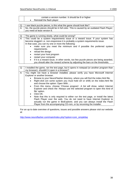|                  | contain a version number. It should be 8 or higher                                              |
|------------------|-------------------------------------------------------------------------------------------------|
|                  | Reinstall the flash player                                                                      |
|                  |                                                                                                 |
| Q:               | I see black puzzle pieces, is this what the game should look like?                              |
| А:               | No, the puzzle pieces should be in full color. This is caused by an outdated Flash Player;      |
|                  | you need at least version 8.                                                                    |
|                  |                                                                                                 |
| Q.               | The game is running slowly, what could be wrong?                                                |
| $\overline{A}$ : | This could be a system requirements issue or a reward issue. If your system has                 |
|                  | become sluggish i.e. non-responsive it is probably a system requirements issue.                 |
|                  | In that case, you can try one or more the following:                                            |
|                  | make sure you meet the minimum and if possible the preferred system                             |
|                  | requirements.<br>reload the design                                                              |
|                  | ٠                                                                                               |
|                  | restart your host program                                                                       |
|                  | restart your computer                                                                           |
|                  | if it is a reward issue, in other words, too few puzzle pieces are being awarded,<br>$\bullet$  |
|                  | you should alter the reward scheme by adjusting the bars on the thresholds.                     |
| Q:               | I installed the game, ran the test page, but it opens in notepad (or another program than       |
|                  | my browser), shouldn't it open in a browser?                                                    |
| А:               | You might not have a browser installed, please verify you have Microsoft Internet               |
|                  | Explorer or another browser.                                                                    |
|                  | Browse to your NeuroFlasher directory, where you will find the index.html file.                 |
|                  | Right-click (on some system you must hold ctrl or shift) on the index.html file<br>٠            |
|                  | and choose the option: Open With                                                                |
|                  | From this menu, choose 'Choose program'. A list will show, select Internet<br>$\bullet$         |
|                  | Explorer and check the 'Always use the selected program to open this kind of                    |
|                  | file' option.                                                                                   |
|                  | Click OK.<br>$\bullet$                                                                          |
|                  | Note that this is only required to either run the test page, or install the latest<br>$\bullet$ |
|                  | Flash Player over the web. You do not need to have Internet Explorer to                         |
|                  | actually run the game in BioExplorer, and you can always install the Flash                      |
|                  | Player from the accompanying CD-rom, or by rerunning the installer.                             |

For an up to date overview of questions, issues and possible answers please visit our website at:

[http://www.neuroflasher.com/main/index.php?option=com\\_simplefaq](http://www.neuroflasher.com/main/index.php?option=com_simplefaq)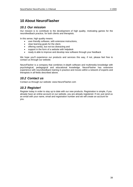# <span id="page-38-0"></span>**10 About NeuroFlasher**

## *10.1 Our mission*

<span id="page-38-1"></span>Our mission is to contribute to the development of high quality, motivating games for the neurofeedback practice, for both clients and therapists.

In this sense, high quality means:

- user-friendly software, with extensive instructions,
- clear learning goals for the client,
- offering variety, but not too distracting and
- support in the form of a website with helpdesk
- ready & able to improve and develop new software through your feedback

We hope you'll experience our products and services this way, if not, please feel free to contact us through our website.

NeuroFlasher is a company that combines in-depth software and multimedia knowledge with psychological, pedagogical and educational knowledge. NeuroFlasher has extensive experience with neurofeedback training in practice and moves within a network of experts and therapists in all fields described above.

## *10.2 Contact us*

<span id="page-38-2"></span>Contact us through our website: www.NeuroFlasher.com

## *10.3 Register!*

<span id="page-38-3"></span>Register today in order to stay up to date with our new products. Registration is simple, if you already have an online account on our website, you are already registered. If not, just send us an email with your name, email and registration number and we will create an account for you.